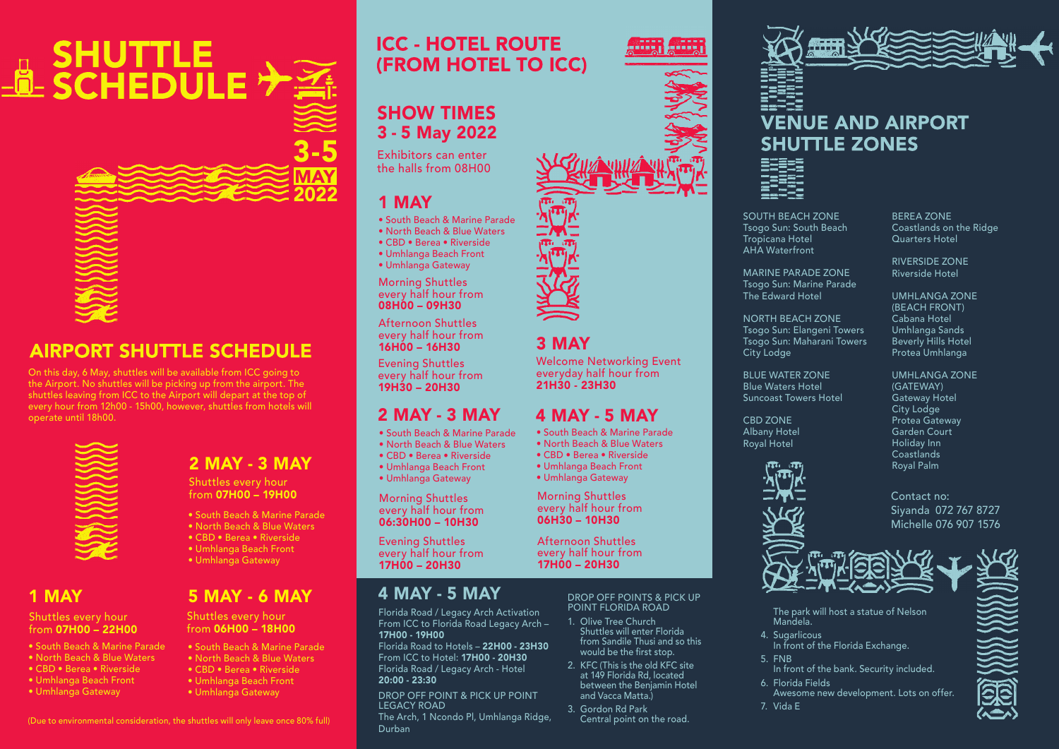# 

## **AIRPORT SHUTTLE SCHEDULE**

On this day, 6 May, shuttles will be available from ICC going to the Airport. No shuttles will be picking up from the airport. The shuttles leaving from ICC to the Airport will depart at the top of every hour from 12h00 - 15h00, however, shuttles from hotels will operate until 18h00.



#### 2 MAY - 3 MAY

Shuttles every hour from 07H00 – 19H00

• South Beach & Marine Parade

• South Beach & Marine Parade • North Beach & Blue Waters • CBD • Berea • Riverside • Umhlanga Beach Front • Umhlanga Gateway

5 MAY - 6 MAY

- North Beach & Blue Waters
- CBD Berea Riverside
- Umhlanga Beach Front

Shuttles every hour from 06H00 – 18H00

• Umhlanga Gateway

#### 1 MAY

#### Shuttles every hour from 07H00 – 22H00

- South Beach & Marine Parade
- North Beach & Blue Waters
- CBD Berea Riverside • Umhlanga Beach Front
- 
- Umhlanga Gateway

#### **ICC - HOTEL ROUTE (FROM HOTEL TO ICC)**

#### SHOW TIMES 3 - 5 May 2022

Exhibitors can enter the halls from 08H00

#### 1 MAY

3-5

2022

- South Beach & Marine Parade
- North Beach & Blue Waters
- CBD Berea Riverside • Umhlanga Beach Front
- Umhlanga Gateway
- Morning Shuttles every half hour from 08H00 – 09H30

Afternoon Shuttles every half hour from 16H00 – 16H30

Evening Shuttles every half hour from 19H30 – 20H30

#### 2 MAY - 3 MAY

- South Beach & Marine Parade
- North Beach & Blue Waters
- CBD Berea Riverside
- Umhlanga Beach Front

Morning Shuttles every half hour from 06:30H00 – 10H30

Evening Shuttles every half hour from

#### 4 MAY - 5 MAY

Florida Road / Legacy Arch Activation From ICC to Florida Road Legacy Arch – 17H00 - 19H00

Florida Road to Hotels – 22H00 - 23H30 From ICC to Hotel: 17H00 - 20H30 Florida Road / Legacy Arch - Hotel 20:00 - 23:30

DROP OFF POINT & PICK UP POINT LEGACY ROAD The Arch, 1 Ncondo Pl, Umhlanga Ridge,

Durban





### **VENUE AND AIRPORT SHUTTLE ZONES**



SOUTH BEACH ZONE Tsogo Sun: South Beach Tropicana Hotel AHA Waterfront

BEREA ZONE Coastlands on the Ridge Quarters Hotel

RIVERSIDE ZONE Riverside Hotel

> UMHLANGA ZONE (BEACH FRONT) Cabana Hotel Umhlanga Sands Beverly Hills Hotel Protea Umhlanga

UMHLANGA ZONE (GATEWAY) Gateway Hotel City Lodge Protea Gateway

Albany Hotel Royal Hotel

> Siyanda 072 767 8727 Michelle 076 907 1576



The park will host a statue of Nelson Mandela.

- 4. Sugarlicous
- In front of the Florida Exchange.
- 5. FNB
- In front of the bank. Security included.
- 6. Florida Fields Awesome new development. Lots on offer.
- 7. Vida E



(Due to environmental consideration, the shuttles will only leave once 80% full)

- 
- 
- 
- Umhlanga Gateway

17H00 – 20H30

## 3 MAY

Welcome Networking Event everyday half hour from 21H30 - 23H30

#### 4 MAY - 5 MAY

- South Beach & Marine Parade
- North Beach & Blue Waters
- CBD Berea Riverside
- Umhlanga Beach Front • Umhlanga Gateway

Morning Shuttles every half hour from 06H30 – 10H30

Afternoon Shuttles every half hour from 17H00 – 20H30

> DROP OFF POINTS & PICK UP POINT FLORIDA ROAD

- 1. Olive Tree Church Shuttles will enter Florida from Sandile Thusi and so this would be the first stop.
- 2. KFC (This is the old KFC site at 149 Florida Rd, located between the Benjamin Hotel and Vacca Matta.)
- 3. Gordon Rd Park Central point on the road.

MARINE PARADE ZONE

Tsogo Sun: Marine Parade The Edward Hotel

NORTH BEACH ZONE Tsogo Sun: Elangeni Towers Tsogo Sun: Maharani Towers City Lodge

BLUE WATER ZONE Blue Waters Hotel Suncoast Towers Hotel

CBD ZONE



Garden Court Holiday Inn **Coastlands** Royal Palm